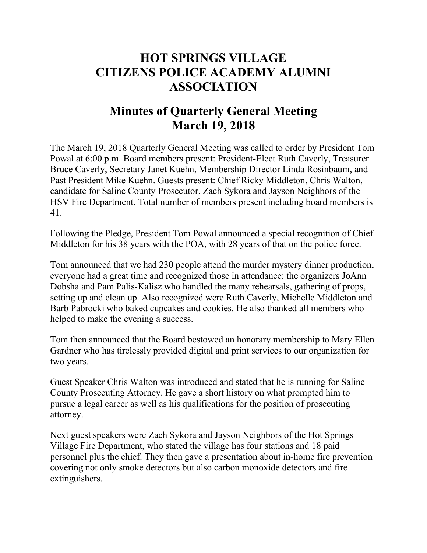## **HOT SPRINGS VILLAGE CITIZENS POLICE ACADEMY ALUMNI ASSOCIATION**

## **Minutes of Quarterly General Meeting March 19, 2018**

The March 19, 2018 Quarterly General Meeting was called to order by President Tom Powal at 6:00 p.m. Board members present: President-Elect Ruth Caverly, Treasurer Bruce Caverly, Secretary Janet Kuehn, Membership Director Linda Rosinbaum, and Past President Mike Kuehn. Guests present: Chief Ricky Middleton, Chris Walton, candidate for Saline County Prosecutor, Zach Sykora and Jayson Neighbors of the HSV Fire Department. Total number of members present including board members is 41.

Following the Pledge, President Tom Powal announced a special recognition of Chief Middleton for his 38 years with the POA, with 28 years of that on the police force.

Tom announced that we had 230 people attend the murder mystery dinner production, everyone had a great time and recognized those in attendance: the organizers JoAnn Dobsha and Pam Palis-Kalisz who handled the many rehearsals, gathering of props, setting up and clean up. Also recognized were Ruth Caverly, Michelle Middleton and Barb Pabrocki who baked cupcakes and cookies. He also thanked all members who helped to make the evening a success.

Tom then announced that the Board bestowed an honorary membership to Mary Ellen Gardner who has tirelessly provided digital and print services to our organization for two years.

Guest Speaker Chris Walton was introduced and stated that he is running for Saline County Prosecuting Attorney. He gave a short history on what prompted him to pursue a legal career as well as his qualifications for the position of prosecuting attorney.

Next guest speakers were Zach Sykora and Jayson Neighbors of the Hot Springs Village Fire Department, who stated the village has four stations and 18 paid personnel plus the chief. They then gave a presentation about in-home fire prevention covering not only smoke detectors but also carbon monoxide detectors and fire extinguishers.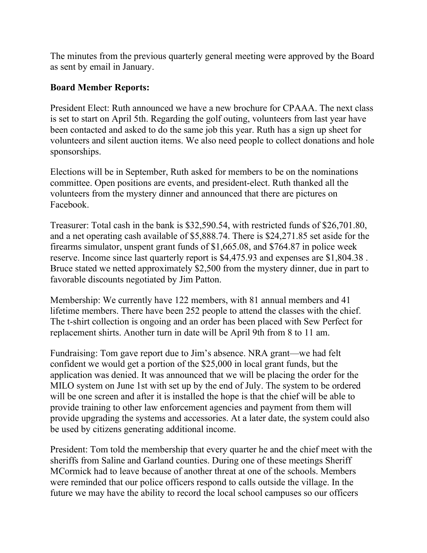The minutes from the previous quarterly general meeting were approved by the Board as sent by email in January.

## **Board Member Reports:**

President Elect: Ruth announced we have a new brochure for CPAAA. The next class is set to start on April 5th. Regarding the golf outing, volunteers from last year have been contacted and asked to do the same job this year. Ruth has a sign up sheet for volunteers and silent auction items. We also need people to collect donations and hole sponsorships.

Elections will be in September, Ruth asked for members to be on the nominations committee. Open positions are events, and president-elect. Ruth thanked all the volunteers from the mystery dinner and announced that there are pictures on Facebook.

Treasurer: Total cash in the bank is \$32,590.54, with restricted funds of \$26,701.80, and a net operating cash available of \$5,888.74. There is \$24,271.85 set aside for the firearms simulator, unspent grant funds of \$1,665.08, and \$764.87 in police week reserve. Income since last quarterly report is \$4,475.93 and expenses are \$1,804.38 . Bruce stated we netted approximately \$2,500 from the mystery dinner, due in part to favorable discounts negotiated by Jim Patton.

Membership: We currently have 122 members, with 81 annual members and 41 lifetime members. There have been 252 people to attend the classes with the chief. The t-shirt collection is ongoing and an order has been placed with Sew Perfect for replacement shirts. Another turn in date will be April 9th from 8 to 11 am.

Fundraising: Tom gave report due to Jim's absence. NRA grant—we had felt confident we would get a portion of the \$25,000 in local grant funds, but the application was denied. It was announced that we will be placing the order for the MILO system on June 1st with set up by the end of July. The system to be ordered will be one screen and after it is installed the hope is that the chief will be able to provide training to other law enforcement agencies and payment from them will provide upgrading the systems and accessories. At a later date, the system could also be used by citizens generating additional income.

President: Tom told the membership that every quarter he and the chief meet with the sheriffs from Saline and Garland counties. During one of these meetings Sheriff MCormick had to leave because of another threat at one of the schools. Members were reminded that our police officers respond to calls outside the village. In the future we may have the ability to record the local school campuses so our officers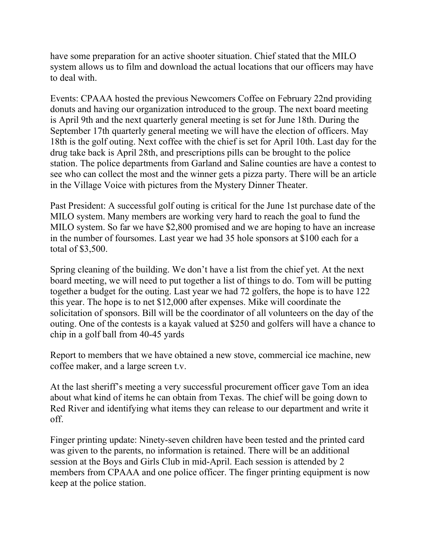have some preparation for an active shooter situation. Chief stated that the MILO system allows us to film and download the actual locations that our officers may have to deal with.

Events: CPAAA hosted the previous Newcomers Coffee on February 22nd providing donuts and having our organization introduced to the group. The next board meeting is April 9th and the next quarterly general meeting is set for June 18th. During the September 17th quarterly general meeting we will have the election of officers. May 18th is the golf outing. Next coffee with the chief is set for April 10th. Last day for the drug take back is April 28th, and prescriptions pills can be brought to the police station. The police departments from Garland and Saline counties are have a contest to see who can collect the most and the winner gets a pizza party. There will be an article in the Village Voice with pictures from the Mystery Dinner Theater.

Past President: A successful golf outing is critical for the June 1st purchase date of the MILO system. Many members are working very hard to reach the goal to fund the MILO system. So far we have \$2,800 promised and we are hoping to have an increase in the number of foursomes. Last year we had 35 hole sponsors at \$100 each for a total of \$3,500.

Spring cleaning of the building. We don't have a list from the chief yet. At the next board meeting, we will need to put together a list of things to do. Tom will be putting together a budget for the outing. Last year we had 72 golfers, the hope is to have 122 this year. The hope is to net \$12,000 after expenses. Mike will coordinate the solicitation of sponsors. Bill will be the coordinator of all volunteers on the day of the outing. One of the contests is a kayak valued at \$250 and golfers will have a chance to chip in a golf ball from 40-45 yards

Report to members that we have obtained a new stove, commercial ice machine, new coffee maker, and a large screen t.v.

At the last sheriff's meeting a very successful procurement officer gave Tom an idea about what kind of items he can obtain from Texas. The chief will be going down to Red River and identifying what items they can release to our department and write it off.

Finger printing update: Ninety-seven children have been tested and the printed card was given to the parents, no information is retained. There will be an additional session at the Boys and Girls Club in mid-April. Each session is attended by 2 members from CPAAA and one police officer. The finger printing equipment is now keep at the police station.